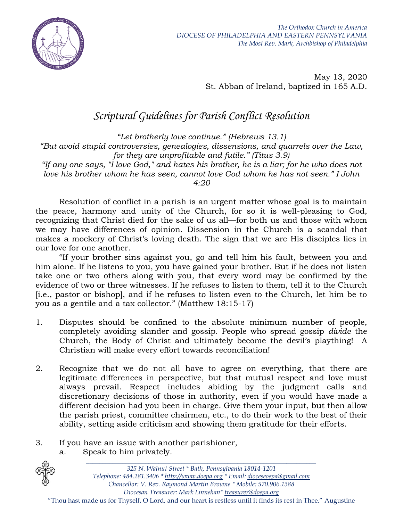

May 13, 2020 St. Abban of Ireland, baptized in 165 A.D.

## *Scriptural Guidelines for Parish Conflict Resolution*

*"Let brotherly love continue." (Hebrews 13.1) "But avoid stupid controversies, genealogies, dissensions, and quarrels over the Law, for they are unprofitable and futile." (Titus 3.9) "If any one says, "I love God," and hates his brother, he is a liar; for he who does not love his brother whom he has seen, cannot love God whom he has not seen." I John 4:20*

Resolution of conflict in a parish is an urgent matter whose goal is to maintain the peace, harmony and unity of the Church, for so it is well-pleasing to God, recognizing that Christ died for the sake of us all—for both us and those with whom we may have differences of opinion. Dissension in the Church is a scandal that makes a mockery of Christ's loving death. The sign that we are His disciples lies in our love for one another.

"If your brother sins against you, go and tell him his fault, between you and him alone. If he listens to you, you have gained your brother. But if he does not listen take one or two others along with you, that every word may be confirmed by the evidence of two or three witnesses. If he refuses to listen to them, tell it to the Church [i.e., pastor or bishop], and if he refuses to listen even to the Church, let him be to you as a gentile and a tax collector." (Matthew 18:15-17)

- 1. Disputes should be confined to the absolute minimum number of people, completely avoiding slander and gossip. People who spread gossip *divide* the Church, the Body of Christ and ultimately become the devil's plaything! A Christian will make every effort towards reconciliation!
- 2. Recognize that we do not all have to agree on everything, that there are legitimate differences in perspective, but that mutual respect and love must always prevail. Respect includes abiding by the judgment calls and discretionary decisions of those in authority, even if you would have made a different decision had you been in charge. Give them your input, but then allow the parish priest, committee chairmen, etc., to do their work to the best of their ability, setting aside criticism and showing them gratitude for their efforts.
- 3. If you have an issue with another parishioner,
	- a. Speak to him privately.



*\_\_\_\_\_\_\_\_\_\_\_\_\_\_\_\_\_\_\_\_\_\_\_\_\_\_\_\_\_\_\_\_\_\_\_\_\_\_\_\_\_\_\_\_\_\_\_\_\_\_\_\_\_\_\_\_\_\_\_\_\_\_\_\_\_\_\_\_\_\_*

"Thou hast made us for Thyself, O Lord, and our heart is restless until it finds its rest in Thee." Augustine